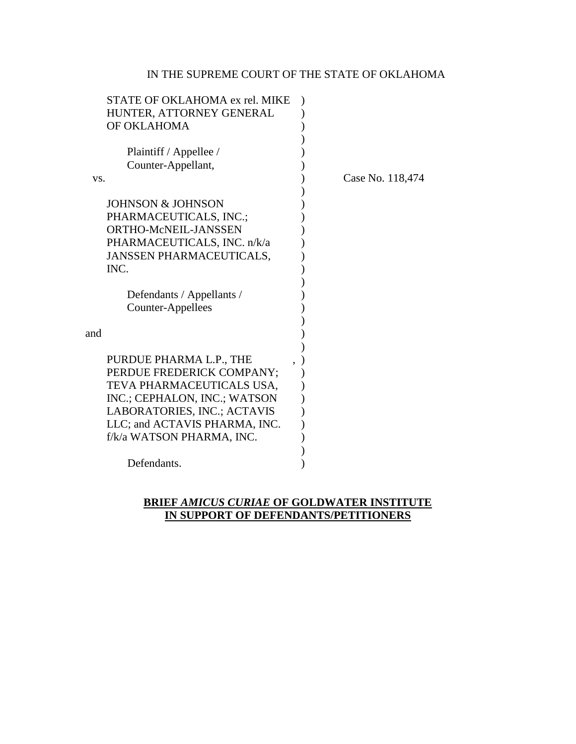# IN THE SUPREME COURT OF THE STATE OF OKLAHOMA

| STATE OF OKLAHOMA ex rel. MIKE |                  |
|--------------------------------|------------------|
| HUNTER, ATTORNEY GENERAL       |                  |
| OF OKLAHOMA                    |                  |
|                                |                  |
| Plaintiff / Appellee /         |                  |
| Counter-Appellant,             |                  |
| VS.                            | Case No. 118,474 |
|                                |                  |
| <b>JOHNSON &amp; JOHNSON</b>   |                  |
| PHARMACEUTICALS, INC.;         |                  |
| ORTHO-McNEIL-JANSSEN           |                  |
| PHARMACEUTICALS, INC. n/k/a    |                  |
| JANSSEN PHARMACEUTICALS,       |                  |
| INC.                           |                  |
|                                |                  |
| Defendants / Appellants /      |                  |
| Counter-Appellees              |                  |
|                                |                  |
| and                            |                  |
|                                |                  |
| PURDUE PHARMA L.P., THE        |                  |
| PERDUE FREDERICK COMPANY;      |                  |
| TEVA PHARMACEUTICALS USA,      |                  |
|                                |                  |
| INC.; CEPHALON, INC.; WATSON   |                  |
| LABORATORIES, INC.; ACTAVIS    |                  |
| LLC; and ACTAVIS PHARMA, INC.  |                  |
| f/k/a WATSON PHARMA, INC.      |                  |
|                                |                  |
| Defendants.                    |                  |
|                                |                  |

# **BRIEF** *AMICUS CURIAE* **OF GOLDWATER INSTITUTE IN SUPPORT OF DEFENDANTS/PETITIONERS**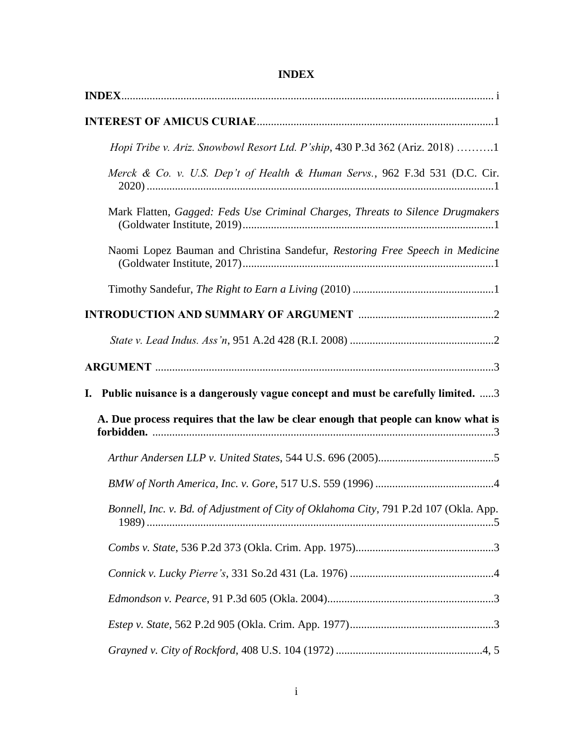| Hopi Tribe v. Ariz. Snowbowl Resort Ltd. P'ship, 430 P.3d 362 (Ariz. 2018) 1          |
|---------------------------------------------------------------------------------------|
| Merck & Co. v. U.S. Dep't of Health & Human Servs., 962 F.3d 531 (D.C. Cir.           |
| Mark Flatten, Gagged: Feds Use Criminal Charges, Threats to Silence Drugmakers        |
| Naomi Lopez Bauman and Christina Sandefur, Restoring Free Speech in Medicine          |
|                                                                                       |
|                                                                                       |
|                                                                                       |
|                                                                                       |
| I. Public nuisance is a dangerously vague concept and must be carefully limited. 3    |
| A. Due process requires that the law be clear enough that people can know what is     |
|                                                                                       |
|                                                                                       |
| Bonnell, Inc. v. Bd. of Adjustment of City of Oklahoma City, 791 P.2d 107 (Okla. App. |
|                                                                                       |
|                                                                                       |
|                                                                                       |
|                                                                                       |
|                                                                                       |

# **INDEX**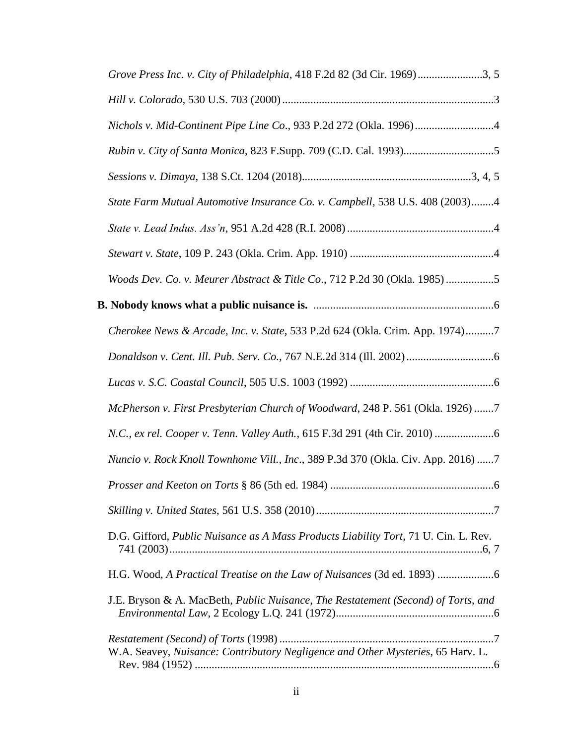| Grove Press Inc. v. City of Philadelphia, 418 F.2d 82 (3d Cir. 1969)3, 5            |
|-------------------------------------------------------------------------------------|
|                                                                                     |
| Nichols v. Mid-Continent Pipe Line Co., 933 P.2d 272 (Okla. 1996)4                  |
|                                                                                     |
|                                                                                     |
| State Farm Mutual Automotive Insurance Co. v. Campbell, 538 U.S. 408 (2003)4        |
|                                                                                     |
|                                                                                     |
| Woods Dev. Co. v. Meurer Abstract & Title Co., 712 P.2d 30 (Okla. 1985) 5           |
|                                                                                     |
| Cherokee News & Arcade, Inc. v. State, 533 P.2d 624 (Okla. Crim. App. 1974)7        |
|                                                                                     |
|                                                                                     |
| McPherson v. First Presbyterian Church of Woodward, 248 P. 561 (Okla. 1926) 7       |
|                                                                                     |
| Nuncio v. Rock Knoll Townhome Vill., Inc., 389 P.3d 370 (Okla. Civ. App. 2016) 7    |
| <i>Prosser and Keeton on Torts § 86 (5th ed. 1984) </i><br>. 6                      |
|                                                                                     |
| D.G. Gifford, Public Nuisance as A Mass Products Liability Tort, 71 U. Cin. L. Rev. |
|                                                                                     |
| J.E. Bryson & A. MacBeth, Public Nuisance, The Restatement (Second) of Torts, and   |
| W.A. Seavey, Nuisance: Contributory Negligence and Other Mysteries, 65 Harv. L.     |
|                                                                                     |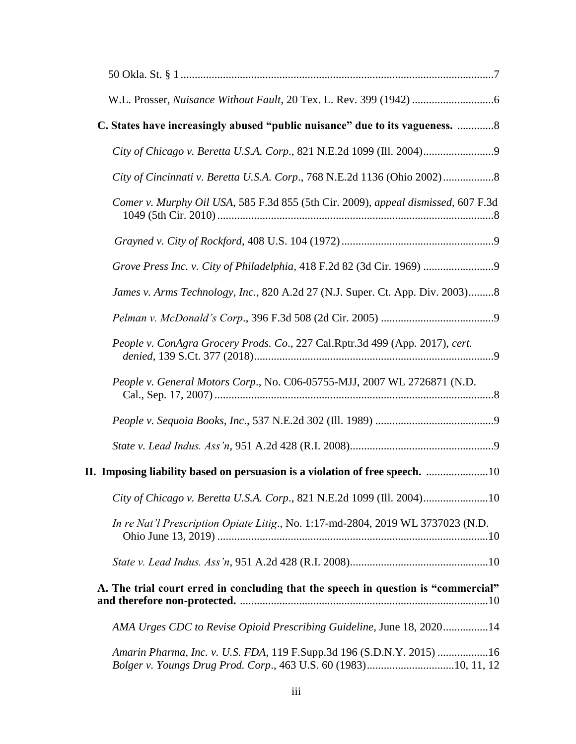| C. States have increasingly abused "public nuisance" due to its vagueness.  8                                                            |
|------------------------------------------------------------------------------------------------------------------------------------------|
|                                                                                                                                          |
|                                                                                                                                          |
| Comer v. Murphy Oil USA, 585 F.3d 855 (5th Cir. 2009), appeal dismissed, 607 F.3d                                                        |
|                                                                                                                                          |
| Grove Press Inc. v. City of Philadelphia, 418 F.2d 82 (3d Cir. 1969)                                                                     |
| James v. Arms Technology, Inc., 820 A.2d 27 (N.J. Super. Ct. App. Div. 2003)8                                                            |
|                                                                                                                                          |
| People v. ConAgra Grocery Prods. Co., 227 Cal.Rptr.3d 499 (App. 2017), cert.                                                             |
| People v. General Motors Corp., No. C06-05755-MJJ, 2007 WL 2726871 (N.D.                                                                 |
|                                                                                                                                          |
|                                                                                                                                          |
| II. Imposing liability based on persuasion is a violation of free speech. 10                                                             |
| City of Chicago v. Beretta U.S.A. Corp., 821 N.E.2d 1099 (Ill. 2004)10                                                                   |
| In re Nat'l Prescription Opiate Litig., No. 1:17-md-2804, 2019 WL 3737023 (N.D.                                                          |
|                                                                                                                                          |
| A. The trial court erred in concluding that the speech in question is "commercial"                                                       |
| AMA Urges CDC to Revise Opioid Prescribing Guideline, June 18, 202014                                                                    |
| Amarin Pharma, Inc. v. U.S. FDA, 119 F.Supp.3d 196 (S.D.N.Y. 2015) 16<br>Bolger v. Youngs Drug Prod. Corp., 463 U.S. 60 (1983)10, 11, 12 |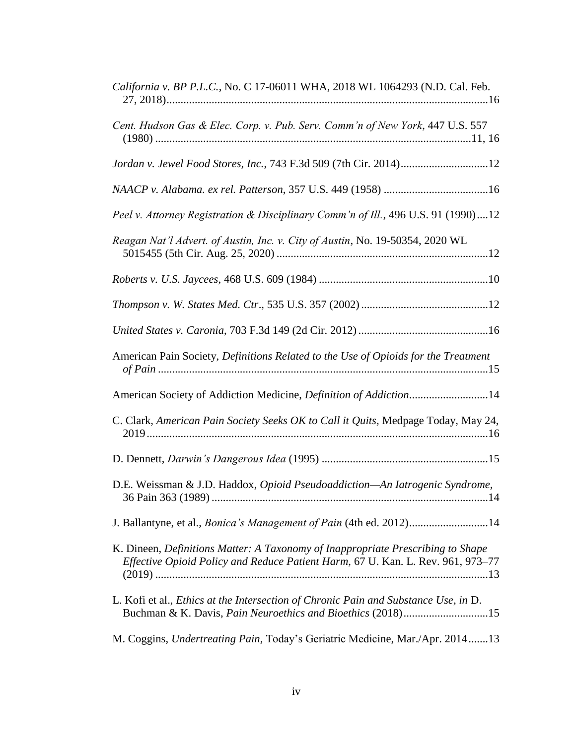| California v. BP P.L.C., No. C 17-06011 WHA, 2018 WL 1064293 (N.D. Cal. Feb.                                                                                       |
|--------------------------------------------------------------------------------------------------------------------------------------------------------------------|
| Cent. Hudson Gas & Elec. Corp. v. Pub. Serv. Comm'n of New York, 447 U.S. 557                                                                                      |
| Jordan v. Jewel Food Stores, Inc., 743 F.3d 509 (7th Cir. 2014)12                                                                                                  |
|                                                                                                                                                                    |
| Peel v. Attorney Registration & Disciplinary Comm'n of Ill., 496 U.S. 91 (1990)12                                                                                  |
| Reagan Nat'l Advert. of Austin, Inc. v. City of Austin, No. 19-50354, 2020 WL                                                                                      |
|                                                                                                                                                                    |
|                                                                                                                                                                    |
|                                                                                                                                                                    |
| American Pain Society, Definitions Related to the Use of Opioids for the Treatment                                                                                 |
| American Society of Addiction Medicine, Definition of Addiction14                                                                                                  |
| C. Clark, American Pain Society Seeks OK to Call it Quits, Medpage Today, May 24,                                                                                  |
|                                                                                                                                                                    |
| D.E. Weissman & J.D. Haddox, Opioid Pseudoaddiction-An Iatrogenic Syndrome,                                                                                        |
| J. Ballantyne, et al., <i>Bonica's Management of Pain</i> (4th ed. 2012)14                                                                                         |
| K. Dineen, Definitions Matter: A Taxonomy of Inappropriate Prescribing to Shape<br>Effective Opioid Policy and Reduce Patient Harm, 67 U. Kan. L. Rev. 961, 973-77 |
| L. Kofi et al., <i>Ethics at the Intersection of Chronic Pain and Substance Use</i> , in D.<br>Buchman & K. Davis, Pain Neuroethics and Bioethics (2018)15         |
| M. Coggins, Undertreating Pain, Today's Geriatric Medicine, Mar./Apr. 201413                                                                                       |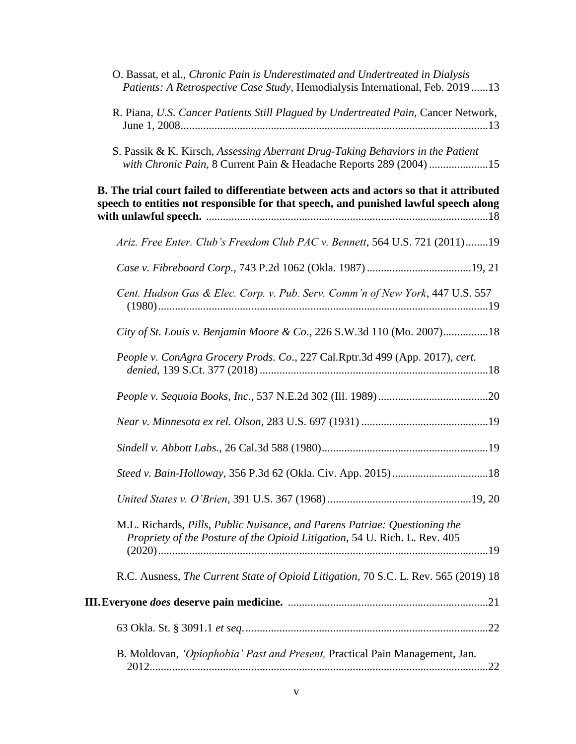| O. Bassat, et al., Chronic Pain is Underestimated and Undertreated in Dialysis<br>Patients: A Retrospective Case Study, Hemodialysis International, Feb. 201913                  |
|----------------------------------------------------------------------------------------------------------------------------------------------------------------------------------|
| R. Piana, U.S. Cancer Patients Still Plagued by Undertreated Pain, Cancer Network,                                                                                               |
| S. Passik & K. Kirsch, Assessing Aberrant Drug-Taking Behaviors in the Patient<br>with Chronic Pain, 8 Current Pain & Headache Reports 289 (2004) 15                             |
| B. The trial court failed to differentiate between acts and actors so that it attributed<br>speech to entities not responsible for that speech, and punished lawful speech along |
| Ariz. Free Enter. Club's Freedom Club PAC v. Bennett, 564 U.S. 721 (2011)19                                                                                                      |
|                                                                                                                                                                                  |
| Cent. Hudson Gas & Elec. Corp. v. Pub. Serv. Comm'n of New York, 447 U.S. 557                                                                                                    |
| City of St. Louis v. Benjamin Moore & Co., 226 S.W.3d 110 (Mo. 2007)18                                                                                                           |
| People v. ConAgra Grocery Prods. Co., 227 Cal.Rptr.3d 499 (App. 2017), cert.                                                                                                     |
|                                                                                                                                                                                  |
|                                                                                                                                                                                  |
|                                                                                                                                                                                  |
|                                                                                                                                                                                  |
|                                                                                                                                                                                  |
| M.L. Richards, Pills, Public Nuisance, and Parens Patriae: Questioning the<br>Propriety of the Posture of the Opioid Litigation, 54 U. Rich. L. Rev. 405                         |
| R.C. Ausness, The Current State of Opioid Litigation, 70 S.C. L. Rev. 565 (2019) 18                                                                                              |
|                                                                                                                                                                                  |
|                                                                                                                                                                                  |
| B. Moldovan, <i>'Opiophobia' Past and Present</i> , Practical Pain Management, Jan.                                                                                              |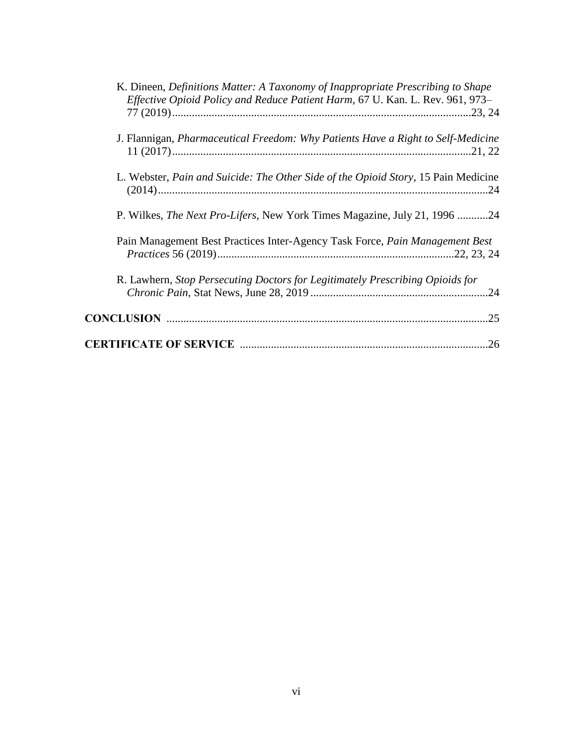| K. Dineen, Definitions Matter: A Taxonomy of Inappropriate Prescribing to Shape<br><i>Effective Opioid Policy and Reduce Patient Harm, 67 U. Kan. L. Rev. 961, 973–</i> |
|-------------------------------------------------------------------------------------------------------------------------------------------------------------------------|
| J. Flannigan, Pharmaceutical Freedom: Why Patients Have a Right to Self-Medicine                                                                                        |
| L. Webster, Pain and Suicide: The Other Side of the Opioid Story, 15 Pain Medicine                                                                                      |
| P. Wilkes, <i>The Next Pro-Lifers</i> , New York Times Magazine, July 21, 1996 24                                                                                       |
| Pain Management Best Practices Inter-Agency Task Force, Pain Management Best                                                                                            |
| R. Lawhern, Stop Persecuting Doctors for Legitimately Prescribing Opioids for                                                                                           |
| .25                                                                                                                                                                     |
|                                                                                                                                                                         |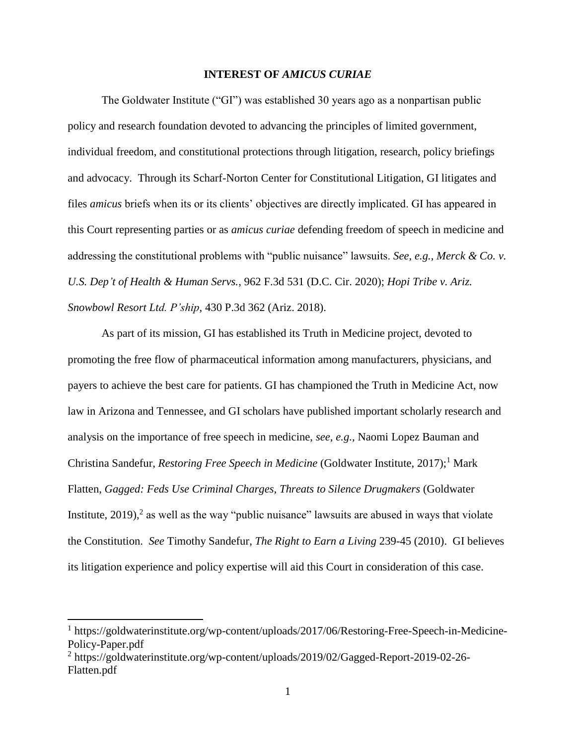## **INTEREST OF** *AMICUS CURIAE*

The Goldwater Institute ("GI") was established 30 years ago as a nonpartisan public policy and research foundation devoted to advancing the principles of limited government, individual freedom, and constitutional protections through litigation, research, policy briefings and advocacy. Through its Scharf-Norton Center for Constitutional Litigation, GI litigates and files *amicus* briefs when its or its clients' objectives are directly implicated. GI has appeared in this Court representing parties or as *amicus curiae* defending freedom of speech in medicine and addressing the constitutional problems with "public nuisance" lawsuits. *See, e.g., Merck & Co. v. U.S. Dep't of Health & Human Servs.*, 962 F.3d 531 (D.C. Cir. 2020); *Hopi Tribe v. Ariz. Snowbowl Resort Ltd. P'ship*, 430 P.3d 362 (Ariz. 2018).

As part of its mission, GI has established its Truth in Medicine project, devoted to promoting the free flow of pharmaceutical information among manufacturers, physicians, and payers to achieve the best care for patients. GI has championed the Truth in Medicine Act, now law in Arizona and Tennessee, and GI scholars have published important scholarly research and analysis on the importance of free speech in medicine, *see, e.g.,* Naomi Lopez Bauman and Christina Sandefur, *Restoring Free Speech in Medicine* (Goldwater Institute, 2017);<sup>1</sup> Mark Flatten, *Gagged: Feds Use Criminal Charges, Threats to Silence Drugmakers* (Goldwater Institute, 2019),<sup>2</sup> as well as the way "public nuisance" lawsuits are abused in ways that violate the Constitution. *See* Timothy Sandefur, *The Right to Earn a Living* 239-45 (2010).GI believes its litigation experience and policy expertise will aid this Court in consideration of this case.

l

<sup>&</sup>lt;sup>1</sup> https://goldwaterinstitute.org/wp-content/uploads/2017/06/Restoring-Free-Speech-in-Medicine-Policy-Paper.pdf

<sup>&</sup>lt;sup>2</sup> https://goldwaterinstitute.org/wp-content/uploads/2019/02/Gagged-Report-2019-02-26-Flatten.pdf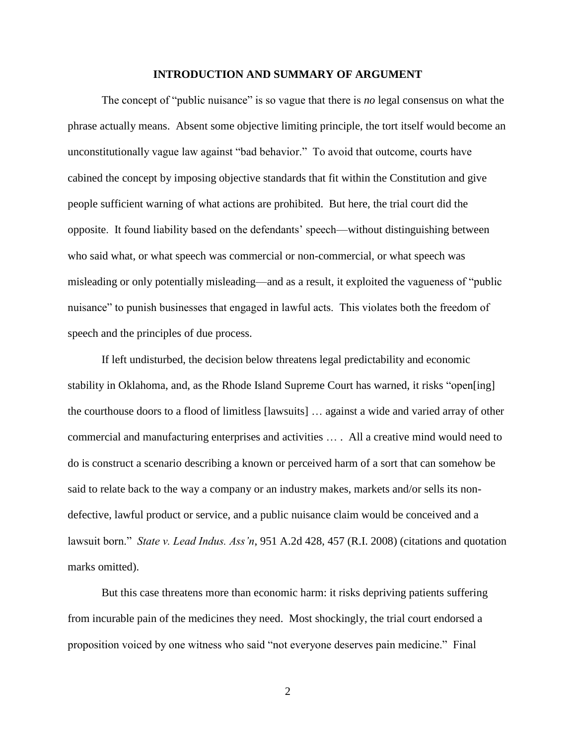#### **INTRODUCTION AND SUMMARY OF ARGUMENT**

The concept of "public nuisance" is so vague that there is *no* legal consensus on what the phrase actually means. Absent some objective limiting principle, the tort itself would become an unconstitutionally vague law against "bad behavior." To avoid that outcome, courts have cabined the concept by imposing objective standards that fit within the Constitution and give people sufficient warning of what actions are prohibited. But here, the trial court did the opposite. It found liability based on the defendants' speech—without distinguishing between who said what, or what speech was commercial or non-commercial, or what speech was misleading or only potentially misleading—and as a result, it exploited the vagueness of "public nuisance" to punish businesses that engaged in lawful acts. This violates both the freedom of speech and the principles of due process.

If left undisturbed, the decision below threatens legal predictability and economic stability in Oklahoma, and, as the Rhode Island Supreme Court has warned, it risks "open[ing] the courthouse doors to a flood of limitless [lawsuits] … against a wide and varied array of other commercial and manufacturing enterprises and activities … . All a creative mind would need to do is construct a scenario describing a known or perceived harm of a sort that can somehow be said to relate back to the way a company or an industry makes, markets and/or sells its nondefective, lawful product or service, and a public nuisance claim would be conceived and a lawsuit born." *State v. Lead Indus. Ass'n*, 951 A.2d 428, 457 (R.I. 2008) (citations and quotation marks omitted).

But this case threatens more than economic harm: it risks depriving patients suffering from incurable pain of the medicines they need. Most shockingly, the trial court endorsed a proposition voiced by one witness who said "not everyone deserves pain medicine." Final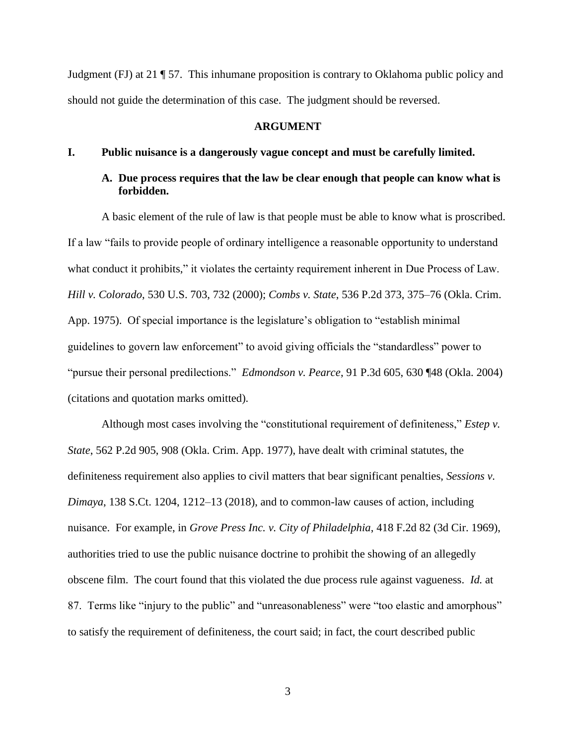Judgment (FJ) at 21 ¶ 57. This inhumane proposition is contrary to Oklahoma public policy and should not guide the determination of this case. The judgment should be reversed.

#### **ARGUMENT**

## **I. Public nuisance is a dangerously vague concept and must be carefully limited.**

# **A. Due process requires that the law be clear enough that people can know what is forbidden.**

A basic element of the rule of law is that people must be able to know what is proscribed. If a law "fails to provide people of ordinary intelligence a reasonable opportunity to understand what conduct it prohibits," it violates the certainty requirement inherent in Due Process of Law. *Hill v. Colorado*, 530 U.S. 703, 732 (2000); *Combs v. State*, 536 P.2d 373, 375–76 (Okla. Crim. App. 1975). Of special importance is the legislature's obligation to "establish minimal guidelines to govern law enforcement" to avoid giving officials the "standardless" power to "pursue their personal predilections." *Edmondson v. Pearce*, 91 P.3d 605, 630 ¶48 (Okla. 2004) (citations and quotation marks omitted).

Although most cases involving the "constitutional requirement of definiteness," *Estep v. State*, 562 P.2d 905, 908 (Okla. Crim. App. 1977), have dealt with criminal statutes, the definiteness requirement also applies to civil matters that bear significant penalties, *Sessions v. Dimaya*, 138 S.Ct. 1204, 1212–13 (2018), and to common-law causes of action, including nuisance. For example, in *Grove Press Inc. v. City of Philadelphia*, 418 F.2d 82 (3d Cir. 1969), authorities tried to use the public nuisance doctrine to prohibit the showing of an allegedly obscene film. The court found that this violated the due process rule against vagueness. *Id.* at 87. Terms like "injury to the public" and "unreasonableness" were "too elastic and amorphous" to satisfy the requirement of definiteness, the court said; in fact, the court described public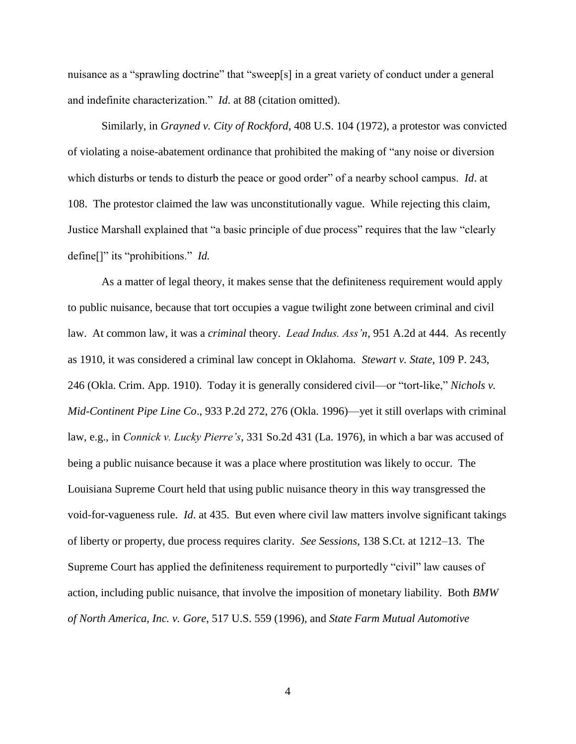nuisance as a "sprawling doctrine" that "sweep[s] in a great variety of conduct under a general and indefinite characterization." *Id*. at 88 (citation omitted).

Similarly, in *Grayned v. City of Rockford*, 408 U.S. 104 (1972), a protestor was convicted of violating a noise-abatement ordinance that prohibited the making of "any noise or diversion which disturbs or tends to disturb the peace or good order" of a nearby school campus. *Id*. at 108. The protestor claimed the law was unconstitutionally vague. While rejecting this claim, Justice Marshall explained that "a basic principle of due process" requires that the law "clearly define[]" its "prohibitions." *Id.*

As a matter of legal theory, it makes sense that the definiteness requirement would apply to public nuisance, because that tort occupies a vague twilight zone between criminal and civil law. At common law, it was a *criminal* theory. *Lead Indus. Ass'n*, 951 A.2d at 444. As recently as 1910, it was considered a criminal law concept in Oklahoma. *Stewart v. State*, 109 P. 243, 246 (Okla. Crim. App. 1910). Today it is generally considered civil—or "tort-like," *Nichols v. Mid-Continent Pipe Line Co*., 933 P.2d 272, 276 (Okla. 1996)—yet it still overlaps with criminal law, e.g., in *Connick v. Lucky Pierre's*, 331 So.2d 431 (La. 1976), in which a bar was accused of being a public nuisance because it was a place where prostitution was likely to occur. The Louisiana Supreme Court held that using public nuisance theory in this way transgressed the void-for-vagueness rule. *Id*. at 435. But even where civil law matters involve significant takings of liberty or property, due process requires clarity. *See Sessions*, 138 S.Ct. at 1212–13. The Supreme Court has applied the definiteness requirement to purportedly "civil" law causes of action, including public nuisance, that involve the imposition of monetary liability. Both *BMW of North America, Inc. v. Gore*, 517 U.S. 559 (1996), and *State Farm Mutual Automotive*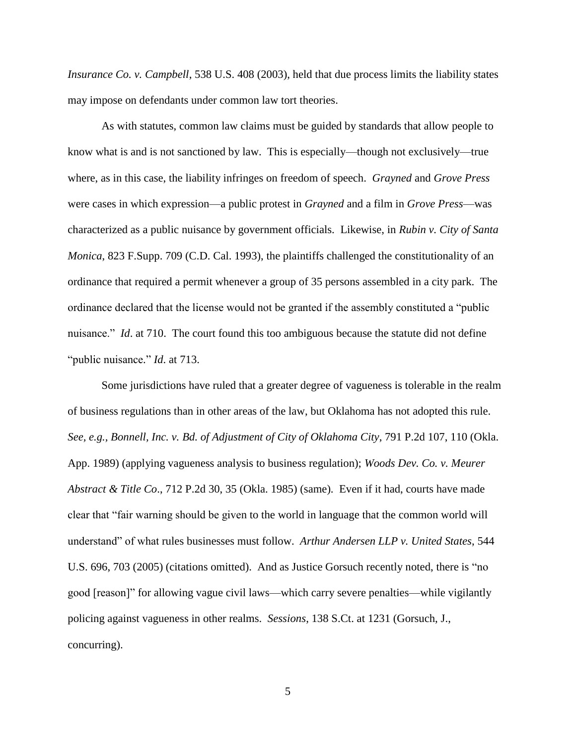*Insurance Co. v. Campbell*, 538 U.S. 408 (2003), held that due process limits the liability states may impose on defendants under common law tort theories.

As with statutes, common law claims must be guided by standards that allow people to know what is and is not sanctioned by law. This is especially—though not exclusively—true where, as in this case, the liability infringes on freedom of speech. *Grayned* and *Grove Press*  were cases in which expression—a public protest in *Grayned* and a film in *Grove Press*—was characterized as a public nuisance by government officials. Likewise, in *Rubin v. City of Santa Monica*, 823 F.Supp. 709 (C.D. Cal. 1993), the plaintiffs challenged the constitutionality of an ordinance that required a permit whenever a group of 35 persons assembled in a city park. The ordinance declared that the license would not be granted if the assembly constituted a "public nuisance." *Id*. at 710. The court found this too ambiguous because the statute did not define "public nuisance." *Id*. at 713.

Some jurisdictions have ruled that a greater degree of vagueness is tolerable in the realm of business regulations than in other areas of the law, but Oklahoma has not adopted this rule. *See, e.g., Bonnell, Inc. v. Bd. of Adjustment of City of Oklahoma City*, 791 P.2d 107, 110 (Okla. App. 1989) (applying vagueness analysis to business regulation); *Woods Dev. Co. v. Meurer Abstract & Title Co*., 712 P.2d 30, 35 (Okla. 1985) (same). Even if it had, courts have made clear that "fair warning should be given to the world in language that the common world will understand" of what rules businesses must follow. *Arthur Andersen LLP v. United States*, 544 U.S. 696, 703 (2005) (citations omitted). And as Justice Gorsuch recently noted, there is "no good [reason]" for allowing vague civil laws—which carry severe penalties—while vigilantly policing against vagueness in other realms. *Sessions*, 138 S.Ct. at 1231 (Gorsuch, J., concurring).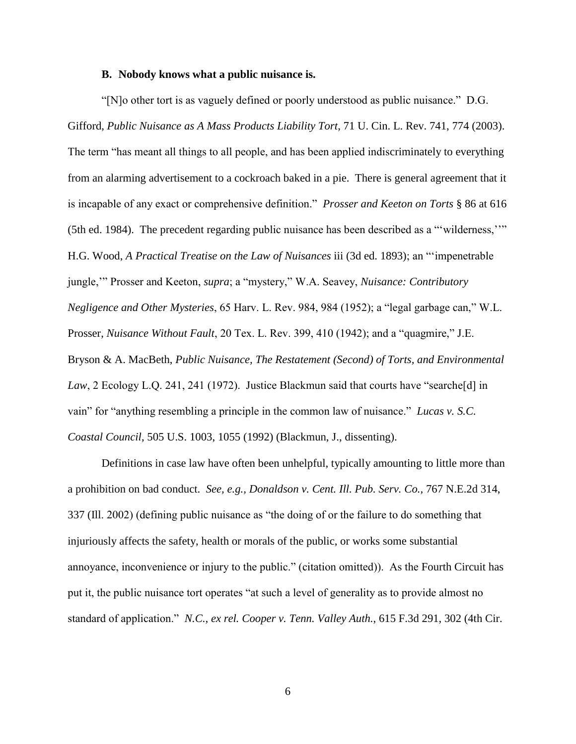### **B. Nobody knows what a public nuisance is.**

"[N]o other tort is as vaguely defined or poorly understood as public nuisance." D.G. Gifford, *Public Nuisance as A Mass Products Liability Tort*, 71 U. Cin. L. Rev. 741, 774 (2003). The term "has meant all things to all people, and has been applied indiscriminately to everything from an alarming advertisement to a cockroach baked in a pie. There is general agreement that it is incapable of any exact or comprehensive definition." *Prosser and Keeton on Torts* § 86 at 616 (5th ed. 1984). The precedent regarding public nuisance has been described as a "'wilderness,''" H.G. Wood, *A Practical Treatise on the Law of Nuisances* iii (3d ed. 1893); an "'impenetrable jungle,'" Prosser and Keeton, *supra*; a "mystery," W.A. Seavey, *Nuisance: Contributory Negligence and Other Mysteries*, 65 Harv. L. Rev. 984, 984 (1952); a "legal garbage can," W.L. Prosser, *Nuisance Without Fault*, 20 Tex. L. Rev. 399, 410 (1942); and a "quagmire," J.E. Bryson & A. MacBeth, *Public Nuisance, The Restatement (Second) of Torts, and Environmental Law*, 2 Ecology L.Q. 241, 241 (1972). Justice Blackmun said that courts have "searche[d] in vain" for "anything resembling a principle in the common law of nuisance." *Lucas v. S.C. Coastal Council*, 505 U.S. 1003, 1055 (1992) (Blackmun, J., dissenting).

Definitions in case law have often been unhelpful, typically amounting to little more than a prohibition on bad conduct. *See, e.g., Donaldson v. Cent. Ill. Pub. Serv. Co.,* 767 N.E.2d 314, 337 (Ill. 2002) (defining public nuisance as "the doing of or the failure to do something that injuriously affects the safety, health or morals of the public, or works some substantial annoyance, inconvenience or injury to the public." (citation omitted)). As the Fourth Circuit has put it, the public nuisance tort operates "at such a level of generality as to provide almost no standard of application." *N.C., ex rel. Cooper v. Tenn. Valley Auth.*, 615 F.3d 291, 302 (4th Cir.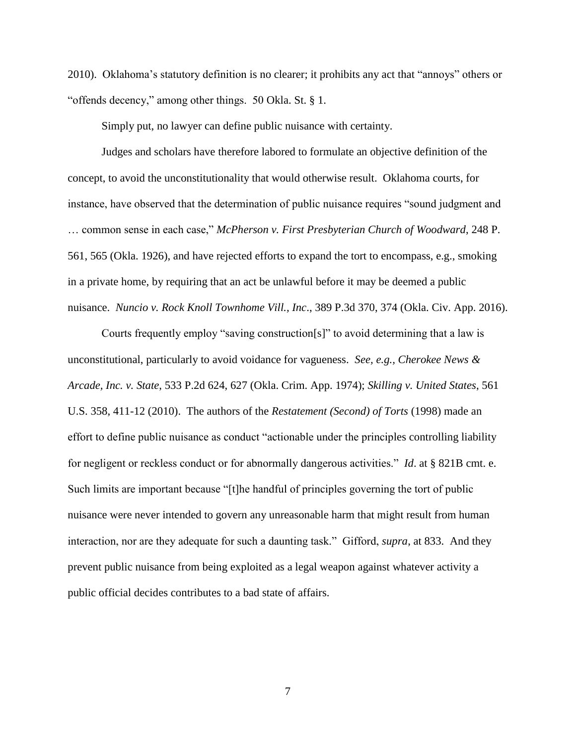2010). Oklahoma's statutory definition is no clearer; it prohibits any act that "annoys" others or "offends decency," among other things. 50 Okla. St. § 1.

Simply put, no lawyer can define public nuisance with certainty.

Judges and scholars have therefore labored to formulate an objective definition of the concept, to avoid the unconstitutionality that would otherwise result. Oklahoma courts, for instance, have observed that the determination of public nuisance requires "sound judgment and … common sense in each case," *McPherson v. First Presbyterian Church of Woodward*, 248 P. 561, 565 (Okla. 1926), and have rejected efforts to expand the tort to encompass, e.g., smoking in a private home, by requiring that an act be unlawful before it may be deemed a public nuisance. *Nuncio v. Rock Knoll Townhome Vill., Inc*., 389 P.3d 370, 374 (Okla. Civ. App. 2016).

Courts frequently employ "saving construction[s]" to avoid determining that a law is unconstitutional, particularly to avoid voidance for vagueness. *See, e.g., Cherokee News & Arcade, Inc. v. State*, 533 P.2d 624, 627 (Okla. Crim. App. 1974); *Skilling v. United States*, 561 U.S. 358, 411-12 (2010). The authors of the *Restatement (Second) of Torts* (1998) made an effort to define public nuisance as conduct "actionable under the principles controlling liability for negligent or reckless conduct or for abnormally dangerous activities." *Id*. at § 821B cmt. e. Such limits are important because "[t]he handful of principles governing the tort of public nuisance were never intended to govern any unreasonable harm that might result from human interaction, nor are they adequate for such a daunting task." Gifford, *supra*, at 833. And they prevent public nuisance from being exploited as a legal weapon against whatever activity a public official decides contributes to a bad state of affairs.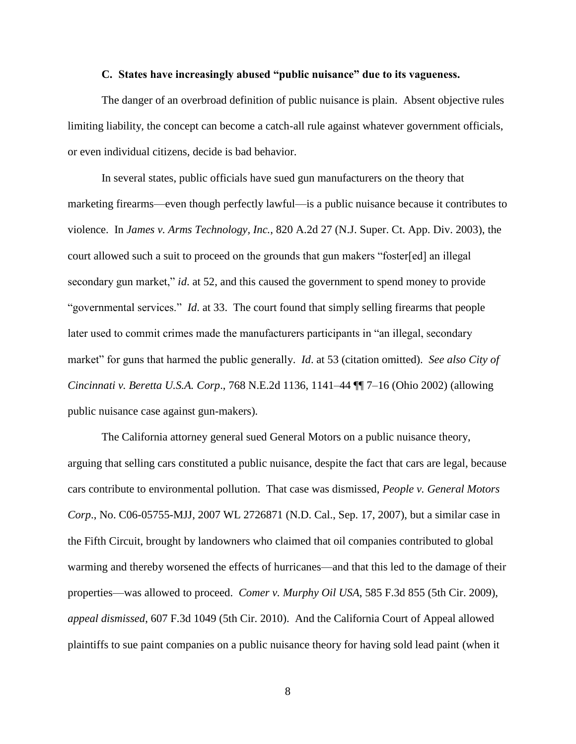# **C. States have increasingly abused "public nuisance" due to its vagueness.**

The danger of an overbroad definition of public nuisance is plain. Absent objective rules limiting liability, the concept can become a catch-all rule against whatever government officials, or even individual citizens, decide is bad behavior.

In several states, public officials have sued gun manufacturers on the theory that marketing firearms—even though perfectly lawful—is a public nuisance because it contributes to violence. In *James v. Arms Technology, Inc.*, 820 A.2d 27 (N.J. Super. Ct. App. Div. 2003), the court allowed such a suit to proceed on the grounds that gun makers "foster[ed] an illegal secondary gun market," *id*. at 52, and this caused the government to spend money to provide "governmental services." *Id*. at 33. The court found that simply selling firearms that people later used to commit crimes made the manufacturers participants in "an illegal, secondary market" for guns that harmed the public generally. *Id*. at 53 (citation omitted). *See also City of Cincinnati v. Beretta U.S.A. Corp*., 768 N.E.2d 1136, 1141–44 ¶¶ 7–16 (Ohio 2002) (allowing public nuisance case against gun-makers).

The California attorney general sued General Motors on a public nuisance theory, arguing that selling cars constituted a public nuisance, despite the fact that cars are legal, because cars contribute to environmental pollution. That case was dismissed, *People v. General Motors Corp*., No. C06-05755-MJJ, 2007 WL 2726871 (N.D. Cal., Sep. 17, 2007), but a similar case in the Fifth Circuit, brought by landowners who claimed that oil companies contributed to global warming and thereby worsened the effects of hurricanes—and that this led to the damage of their properties—was allowed to proceed. *Comer v. Murphy Oil USA*, 585 F.3d 855 (5th Cir. 2009), *appeal dismissed*, 607 F.3d 1049 (5th Cir. 2010). And the California Court of Appeal allowed plaintiffs to sue paint companies on a public nuisance theory for having sold lead paint (when it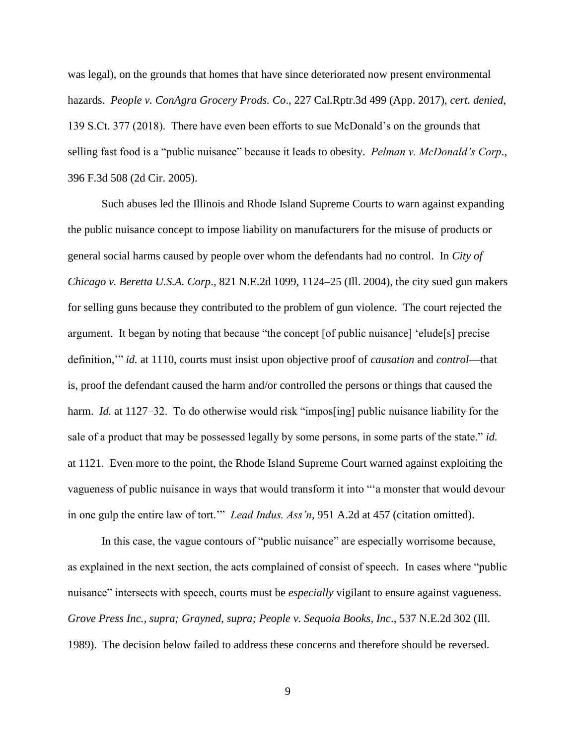was legal), on the grounds that homes that have since deteriorated now present environmental hazards. *People v. ConAgra Grocery Prods. Co*., 227 Cal.Rptr.3d 499 (App. 2017), *cert. denied*, 139 S.Ct. 377 (2018). There have even been efforts to sue McDonald's on the grounds that selling fast food is a "public nuisance" because it leads to obesity. *Pelman v. McDonald's Corp*., 396 F.3d 508 (2d Cir. 2005).

Such abuses led the Illinois and Rhode Island Supreme Courts to warn against expanding the public nuisance concept to impose liability on manufacturers for the misuse of products or general social harms caused by people over whom the defendants had no control. In *City of Chicago v. Beretta U.S.A. Corp*., 821 N.E.2d 1099, 1124–25 (Ill. 2004), the city sued gun makers for selling guns because they contributed to the problem of gun violence. The court rejected the argument. It began by noting that because "the concept [of public nuisance] 'elude[s] precise definition,'" *id.* at 1110, courts must insist upon objective proof of *causation* and *control*—that is, proof the defendant caused the harm and/or controlled the persons or things that caused the harm. *Id.* at 1127–32. To do otherwise would risk "impos<sup>[ing]</sup> public nuisance liability for the sale of a product that may be possessed legally by some persons, in some parts of the state." *id.* at 1121. Even more to the point, the Rhode Island Supreme Court warned against exploiting the vagueness of public nuisance in ways that would transform it into "'a monster that would devour in one gulp the entire law of tort.'" *Lead Indus. Ass'n*, 951 A.2d at 457 (citation omitted).

In this case, the vague contours of "public nuisance" are especially worrisome because, as explained in the next section, the acts complained of consist of speech. In cases where "public nuisance" intersects with speech, courts must be *especially* vigilant to ensure against vagueness. *Grove Press Inc., supra; Grayned, supra; People v. Sequoia Books, Inc*., 537 N.E.2d 302 (Ill. 1989). The decision below failed to address these concerns and therefore should be reversed.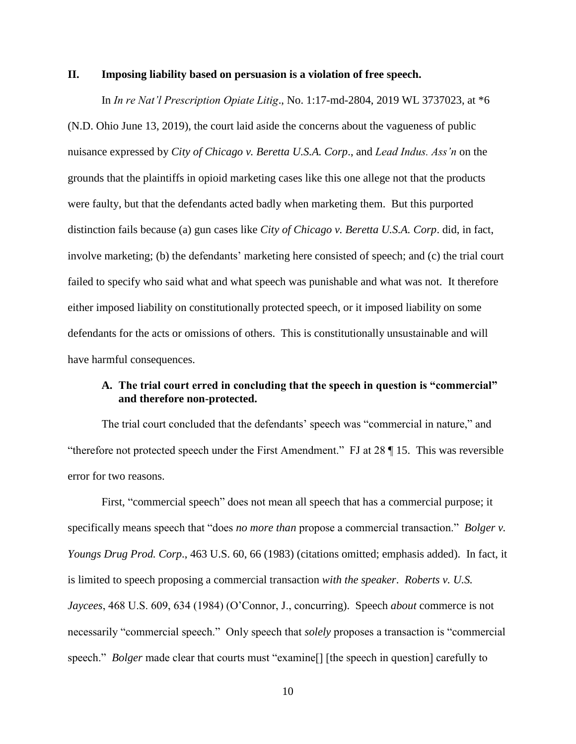## **II. Imposing liability based on persuasion is a violation of free speech.**

In *In re Nat'l Prescription Opiate Litig*., No. 1:17-md-2804, 2019 WL 3737023, at \*6 (N.D. Ohio June 13, 2019), the court laid aside the concerns about the vagueness of public nuisance expressed by *City of Chicago v. Beretta U.S.A. Corp*., and *Lead Indus. Ass'n* on the grounds that the plaintiffs in opioid marketing cases like this one allege not that the products were faulty, but that the defendants acted badly when marketing them. But this purported distinction fails because (a) gun cases like *City of Chicago v. Beretta U.S.A. Corp*. did, in fact, involve marketing; (b) the defendants' marketing here consisted of speech; and (c) the trial court failed to specify who said what and what speech was punishable and what was not. It therefore either imposed liability on constitutionally protected speech, or it imposed liability on some defendants for the acts or omissions of others. This is constitutionally unsustainable and will have harmful consequences.

# **A. The trial court erred in concluding that the speech in question is "commercial" and therefore non-protected.**

The trial court concluded that the defendants' speech was "commercial in nature," and "therefore not protected speech under the First Amendment." FJ at 28 ¶ 15. This was reversible error for two reasons.

First, "commercial speech" does not mean all speech that has a commercial purpose; it specifically means speech that "does *no more than* propose a commercial transaction." *Bolger v. Youngs Drug Prod. Corp*., 463 U.S. 60, 66 (1983) (citations omitted; emphasis added). In fact, it is limited to speech proposing a commercial transaction *with the speaker*. *Roberts v. U.S. Jaycees*, 468 U.S. 609, 634 (1984) (O'Connor, J., concurring). Speech *about* commerce is not necessarily "commercial speech." Only speech that *solely* proposes a transaction is "commercial speech." *Bolger* made clear that courts must "examine<sup>[]</sup> [the speech in question] carefully to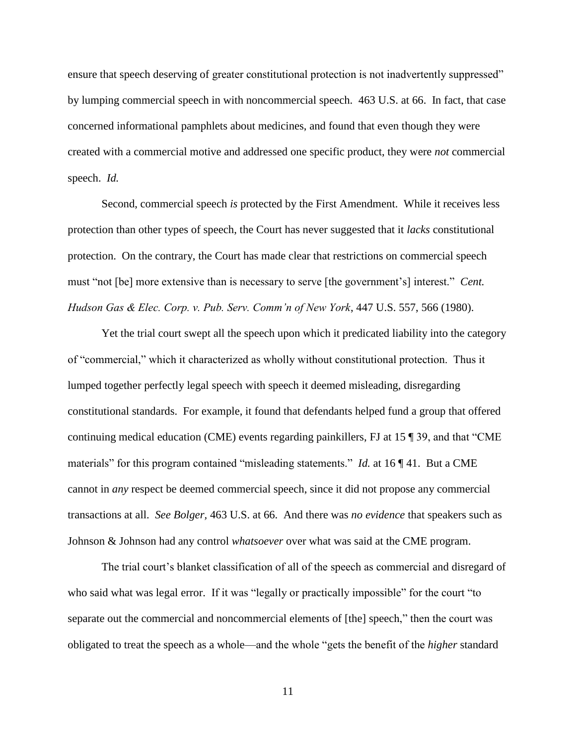ensure that speech deserving of greater constitutional protection is not inadvertently suppressed" by lumping commercial speech in with noncommercial speech. 463 U.S. at 66. In fact, that case concerned informational pamphlets about medicines, and found that even though they were created with a commercial motive and addressed one specific product, they were *not* commercial speech. *Id.* 

Second, commercial speech *is* protected by the First Amendment. While it receives less protection than other types of speech, the Court has never suggested that it *lacks* constitutional protection. On the contrary, the Court has made clear that restrictions on commercial speech must "not [be] more extensive than is necessary to serve [the government's] interest." *Cent. Hudson Gas & Elec. Corp. v. Pub. Serv. Comm'n of New York*, 447 U.S. 557, 566 (1980).

Yet the trial court swept all the speech upon which it predicated liability into the category of "commercial," which it characterized as wholly without constitutional protection. Thus it lumped together perfectly legal speech with speech it deemed misleading, disregarding constitutional standards. For example, it found that defendants helped fund a group that offered continuing medical education (CME) events regarding painkillers, FJ at 15 ¶ 39, and that "CME materials" for this program contained "misleading statements." *Id.* at 16 ¶ 41. But a CME cannot in *any* respect be deemed commercial speech, since it did not propose any commercial transactions at all. *See Bolger,* 463 U.S. at 66. And there was *no evidence* that speakers such as Johnson & Johnson had any control *whatsoever* over what was said at the CME program.

The trial court's blanket classification of all of the speech as commercial and disregard of who said what was legal error. If it was "legally or practically impossible" for the court "to separate out the commercial and noncommercial elements of [the] speech," then the court was obligated to treat the speech as a whole—and the whole "gets the benefit of the *higher* standard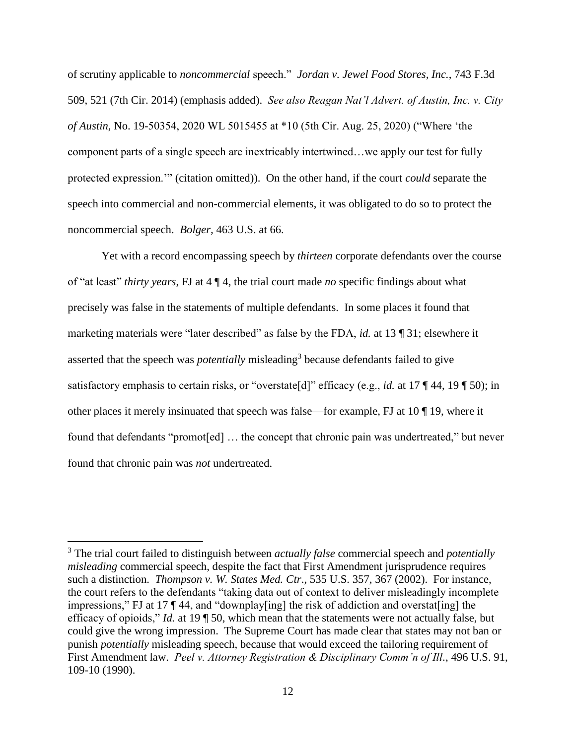of scrutiny applicable to *noncommercial* speech." *Jordan v. Jewel Food Stores, Inc.*, 743 F.3d 509, 521 (7th Cir. 2014) (emphasis added). *See also Reagan Nat'l Advert. of Austin, Inc. v. City of Austin*, No. 19-50354, 2020 WL 5015455 at \*10 (5th Cir. Aug. 25, 2020) ("Where 'the component parts of a single speech are inextricably intertwined…we apply our test for fully protected expression.'" (citation omitted)). On the other hand, if the court *could* separate the speech into commercial and non-commercial elements, it was obligated to do so to protect the noncommercial speech. *Bolger,* 463 U.S. at 66.

Yet with a record encompassing speech by *thirteen* corporate defendants over the course of "at least" *thirty years*, FJ at 4 ¶ 4, the trial court made *no* specific findings about what precisely was false in the statements of multiple defendants. In some places it found that marketing materials were "later described" as false by the FDA, *id.* at 13 ¶ 31; elsewhere it asserted that the speech was *potentially* misleading<sup>3</sup> because defendants failed to give satisfactory emphasis to certain risks, or "overstate[d]" efficacy (e.g., *id.* at 17 ¶ 44, 19 ¶ 50); in other places it merely insinuated that speech was false—for example, FJ at 10 ¶ 19, where it found that defendants "promot[ed] … the concept that chronic pain was undertreated," but never found that chronic pain was *not* undertreated.

 $\overline{\phantom{a}}$ 

<sup>3</sup> The trial court failed to distinguish between *actually false* commercial speech and *potentially misleading* commercial speech, despite the fact that First Amendment jurisprudence requires such a distinction. *Thompson v. W. States Med. Ctr*., 535 U.S. 357, 367 (2002). For instance, the court refers to the defendants "taking data out of context to deliver misleadingly incomplete impressions," FJ at 17 ¶ 44, and "downplay[ing] the risk of addiction and overstat[ing] the efficacy of opioids," *Id.* at 19 ¶ 50, which mean that the statements were not actually false, but could give the wrong impression. The Supreme Court has made clear that states may not ban or punish *potentially* misleading speech, because that would exceed the tailoring requirement of First Amendment law. *Peel v. Attorney Registration & Disciplinary Comm'n of Ill.*, 496 U.S. 91, 109-10 (1990).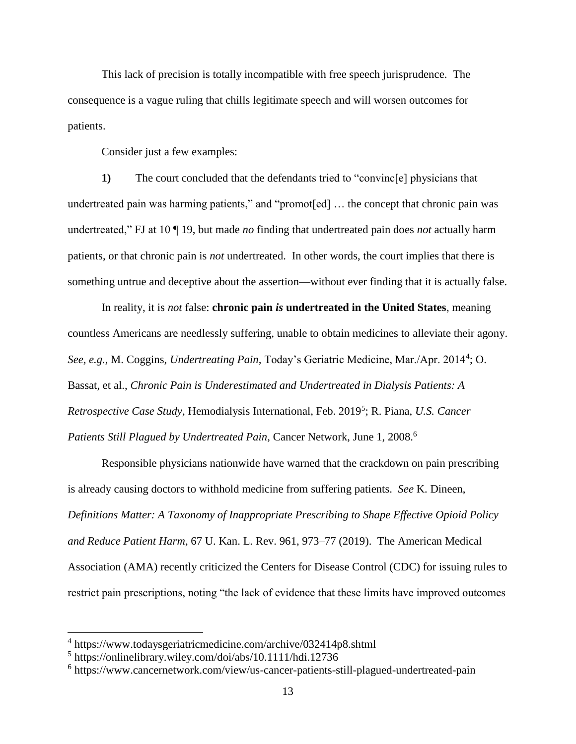This lack of precision is totally incompatible with free speech jurisprudence. The consequence is a vague ruling that chills legitimate speech and will worsen outcomes for patients.

Consider just a few examples:

**1)** The court concluded that the defendants tried to "convinc[e] physicians that undertreated pain was harming patients," and "promot[ed] ... the concept that chronic pain was undertreated," FJ at 10 ¶ 19, but made *no* finding that undertreated pain does *not* actually harm patients, or that chronic pain is *not* undertreated. In other words, the court implies that there is something untrue and deceptive about the assertion—without ever finding that it is actually false.

In reality, it is *not* false: **chronic pain** *is* **undertreated in the United States**, meaning countless Americans are needlessly suffering, unable to obtain medicines to alleviate their agony. See, e.g., M. Coggins, *Undertreating Pain*, Today's Geriatric Medicine, Mar./Apr. 2014<sup>4</sup>; O. Bassat, et al., *Chronic Pain is Underestimated and Undertreated in Dialysis Patients: A Retrospective Case Study,* Hemodialysis International, Feb. 2019<sup>5</sup> ; R. Piana, *U.S. Cancer Patients Still Plagued by Undertreated Pain,* Cancer Network, June 1, 2008.<sup>6</sup>

Responsible physicians nationwide have warned that the crackdown on pain prescribing is already causing doctors to withhold medicine from suffering patients. *See* K. Dineen, *Definitions Matter: A Taxonomy of Inappropriate Prescribing to Shape Effective Opioid Policy and Reduce Patient Harm*, 67 U. Kan. L. Rev. 961, 973–77 (2019). The American Medical Association (AMA) recently criticized the Centers for Disease Control (CDC) for issuing rules to restrict pain prescriptions, noting "the lack of evidence that these limits have improved outcomes

 $\overline{a}$ 

<sup>4</sup> https://www.todaysgeriatricmedicine.com/archive/032414p8.shtml

<sup>5</sup> https://onlinelibrary.wiley.com/doi/abs/10.1111/hdi.12736

<sup>6</sup> https://www.cancernetwork.com/view/us-cancer-patients-still-plagued-undertreated-pain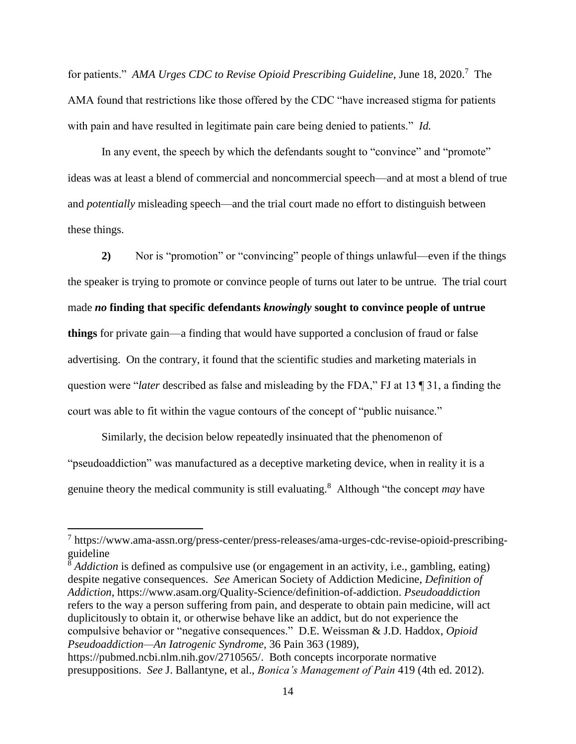for patients." *AMA Urges CDC to Revise Opioid Prescribing Guideline*, June 18, 2020.<sup>7</sup> The AMA found that restrictions like those offered by the CDC "have increased stigma for patients with pain and have resulted in legitimate pain care being denied to patients." *Id.*

In any event, the speech by which the defendants sought to "convince" and "promote" ideas was at least a blend of commercial and noncommercial speech—and at most a blend of true and *potentially* misleading speech—and the trial court made no effort to distinguish between these things.

**2)** Nor is "promotion" or "convincing" people of things unlawful—even if the things the speaker is trying to promote or convince people of turns out later to be untrue. The trial court made *no* **finding that specific defendants** *knowingly* **sought to convince people of untrue things** for private gain—a finding that would have supported a conclusion of fraud or false advertising. On the contrary, it found that the scientific studies and marketing materials in question were "*later* described as false and misleading by the FDA," FJ at 13 ¶ 31, a finding the court was able to fit within the vague contours of the concept of "public nuisance."

Similarly, the decision below repeatedly insinuated that the phenomenon of "pseudoaddiction" was manufactured as a deceptive marketing device, when in reality it is a genuine theory the medical community is still evaluating.<sup>8</sup> Although "the concept *may* have

 $\overline{\phantom{a}}$ 

<sup>8</sup> *Addiction* is defined as compulsive use (or engagement in an activity, i.e., gambling, eating) despite negative consequences. *See* American Society of Addiction Medicine, *Definition of Addiction*, https://www.asam.org/Quality-Science/definition-of-addiction. *Pseudoaddiction* refers to the way a person suffering from pain, and desperate to obtain pain medicine, will act duplicitously to obtain it, or otherwise behave like an addict, but do not experience the compulsive behavior or "negative consequences." D.E. Weissman & J.D. Haddox, *Opioid Pseudoaddiction—An Iatrogenic Syndrome,* 36 Pain 363 (1989),

<sup>&</sup>lt;sup>7</sup> https://www.ama-assn.org/press-center/press-releases/ama-urges-cdc-revise-opioid-prescribingguideline

https://pubmed.ncbi.nlm.nih.gov/2710565/. Both concepts incorporate normative presuppositions. *See* J. Ballantyne, et al., *Bonica's Management of Pain* 419 (4th ed. 2012).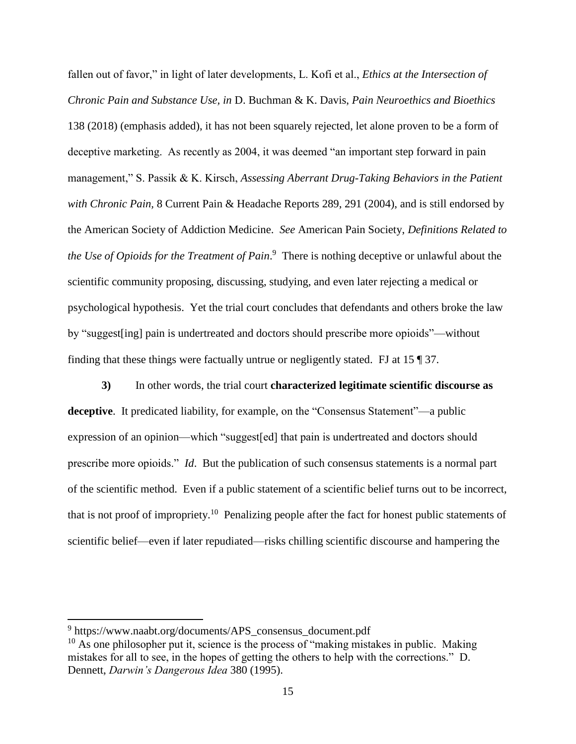fallen out of favor," in light of later developments, L. Kofi et al., *Ethics at the Intersection of Chronic Pain and Substance Use, in* D. Buchman & K. Davis, *Pain Neuroethics and Bioethics*  138 (2018) (emphasis added), it has not been squarely rejected, let alone proven to be a form of deceptive marketing. As recently as 2004, it was deemed "an important step forward in pain management," S. Passik & K. Kirsch, *Assessing Aberrant Drug-Taking Behaviors in the Patient with Chronic Pain,* 8 Current Pain & Headache Reports 289, 291 (2004), and is still endorsed by the American Society of Addiction Medicine. *See* American Pain Society, *Definitions Related to the Use of Opioids for the Treatment of Pain*. 9 There is nothing deceptive or unlawful about the scientific community proposing, discussing, studying, and even later rejecting a medical or psychological hypothesis. Yet the trial court concludes that defendants and others broke the law by "suggest[ing] pain is undertreated and doctors should prescribe more opioids"—without finding that these things were factually untrue or negligently stated. FJ at 15 ¶ 37.

**3)** In other words, the trial court **characterized legitimate scientific discourse as deceptive**. It predicated liability, for example, on the "Consensus Statement"—a public expression of an opinion—which "suggest[ed] that pain is undertreated and doctors should prescribe more opioids." *Id*. But the publication of such consensus statements is a normal part of the scientific method. Even if a public statement of a scientific belief turns out to be incorrect, that is not proof of impropriety.<sup>10</sup> Penalizing people after the fact for honest public statements of scientific belief—even if later repudiated—risks chilling scientific discourse and hampering the

l

<sup>&</sup>lt;sup>9</sup> https://www.naabt.org/documents/APS\_consensus\_document.pdf

 $10$  As one philosopher put it, science is the process of "making mistakes in public. Making mistakes for all to see, in the hopes of getting the others to help with the corrections." D. Dennett, *Darwin's Dangerous Idea* 380 (1995).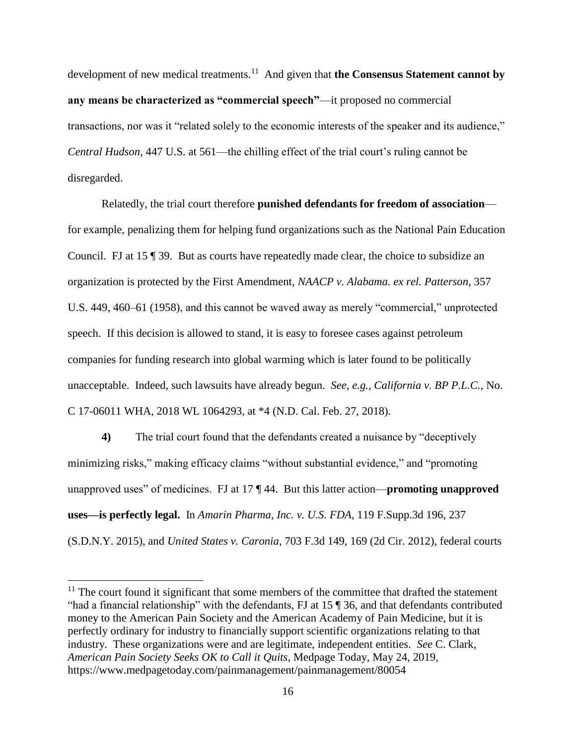development of new medical treatments.<sup>11</sup> And given that **the Consensus Statement cannot by any means be characterized as "commercial speech"**—it proposed no commercial transactions, nor was it "related solely to the economic interests of the speaker and its audience," *Central Hudson*, 447 U.S. at 561—the chilling effect of the trial court's ruling cannot be disregarded.

Relatedly, the trial court therefore **punished defendants for freedom of association** for example, penalizing them for helping fund organizations such as the National Pain Education Council. FJ at 15 ¶ 39. But as courts have repeatedly made clear, the choice to subsidize an organization is protected by the First Amendment, *NAACP v. Alabama. ex rel. Patterson*, 357 U.S. 449, 460–61 (1958), and this cannot be waved away as merely "commercial," unprotected speech. If this decision is allowed to stand, it is easy to foresee cases against petroleum companies for funding research into global warming which is later found to be politically unacceptable. Indeed, such lawsuits have already begun. *See, e.g., California v. BP P.L.C.*, No. C 17-06011 WHA, 2018 WL 1064293, at \*4 (N.D. Cal. Feb. 27, 2018).

**4)** The trial court found that the defendants created a nuisance by "deceptively minimizing risks," making efficacy claims "without substantial evidence," and "promoting unapproved uses" of medicines. FJ at 17 ¶ 44. But this latter action—**promoting unapproved uses—is perfectly legal.** In *Amarin Pharma, Inc. v. U.S. FDA*, 119 F.Supp.3d 196, 237 (S.D.N.Y. 2015), and *United States v. Caronia*, 703 F.3d 149, 169 (2d Cir. 2012), federal courts

 $\overline{a}$ 

 $11$  The court found it significant that some members of the committee that drafted the statement "had a financial relationship" with the defendants, FJ at 15 ¶ 36, and that defendants contributed money to the American Pain Society and the American Academy of Pain Medicine, but it is perfectly ordinary for industry to financially support scientific organizations relating to that industry. These organizations were and are legitimate, independent entities. *See* C. Clark, *American Pain Society Seeks OK to Call it Quits,* Medpage Today, May 24, 2019, https://www.medpagetoday.com/painmanagement/painmanagement/80054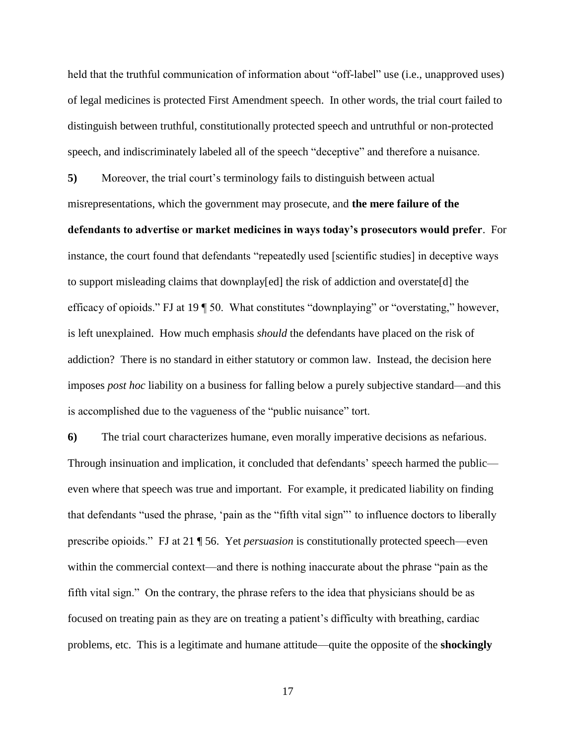held that the truthful communication of information about "off-label" use (i.e., unapproved uses) of legal medicines is protected First Amendment speech. In other words, the trial court failed to distinguish between truthful, constitutionally protected speech and untruthful or non-protected speech, and indiscriminately labeled all of the speech "deceptive" and therefore a nuisance.

**5)** Moreover, the trial court's terminology fails to distinguish between actual misrepresentations, which the government may prosecute, and **the mere failure of the defendants to advertise or market medicines in ways today's prosecutors would prefer**. For instance, the court found that defendants "repeatedly used [scientific studies] in deceptive ways to support misleading claims that downplay[ed] the risk of addiction and overstate[d] the efficacy of opioids." FJ at 19 ¶ 50. What constitutes "downplaying" or "overstating," however, is left unexplained. How much emphasis *should* the defendants have placed on the risk of addiction? There is no standard in either statutory or common law. Instead, the decision here imposes *post hoc* liability on a business for falling below a purely subjective standard—and this is accomplished due to the vagueness of the "public nuisance" tort.

**6)** The trial court characterizes humane, even morally imperative decisions as nefarious. Through insinuation and implication, it concluded that defendants' speech harmed the public even where that speech was true and important. For example, it predicated liability on finding that defendants "used the phrase, 'pain as the "fifth vital sign"' to influence doctors to liberally prescribe opioids." FJ at 21 ¶ 56. Yet *persuasion* is constitutionally protected speech—even within the commercial context—and there is nothing inaccurate about the phrase "pain as the fifth vital sign." On the contrary, the phrase refers to the idea that physicians should be as focused on treating pain as they are on treating a patient's difficulty with breathing, cardiac problems, etc. This is a legitimate and humane attitude—quite the opposite of the **shockingly**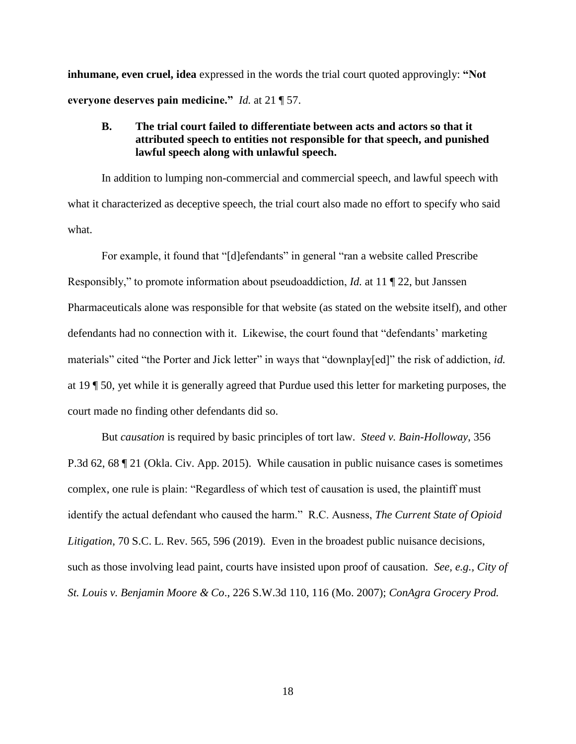**inhumane, even cruel, idea** expressed in the words the trial court quoted approvingly: **"Not everyone deserves pain medicine."** *Id.* at 21 ¶ 57.

# **B. The trial court failed to differentiate between acts and actors so that it attributed speech to entities not responsible for that speech, and punished lawful speech along with unlawful speech.**

In addition to lumping non-commercial and commercial speech, and lawful speech with what it characterized as deceptive speech, the trial court also made no effort to specify who said what.

For example, it found that "[d]efendants" in general "ran a website called Prescribe Responsibly," to promote information about pseudoaddiction, *Id.* at 11 ¶ 22, but Janssen Pharmaceuticals alone was responsible for that website (as stated on the website itself), and other defendants had no connection with it. Likewise, the court found that "defendants' marketing materials" cited "the Porter and Jick letter" in ways that "downplay[ed]" the risk of addiction, *id.*  at 19 ¶ 50, yet while it is generally agreed that Purdue used this letter for marketing purposes, the court made no finding other defendants did so.

But *causation* is required by basic principles of tort law. *Steed v. Bain-Holloway*, 356 P.3d 62, 68 ¶ 21 (Okla. Civ. App. 2015). While causation in public nuisance cases is sometimes complex, one rule is plain: "Regardless of which test of causation is used, the plaintiff must identify the actual defendant who caused the harm." R.C. Ausness, *The Current State of Opioid Litigation*, 70 S.C. L. Rev. 565, 596 (2019). Even in the broadest public nuisance decisions, such as those involving lead paint, courts have insisted upon proof of causation. *See, e.g., City of St. Louis v. Benjamin Moore & Co*., 226 S.W.3d 110, 116 (Mo. 2007); *ConAgra Grocery Prod.*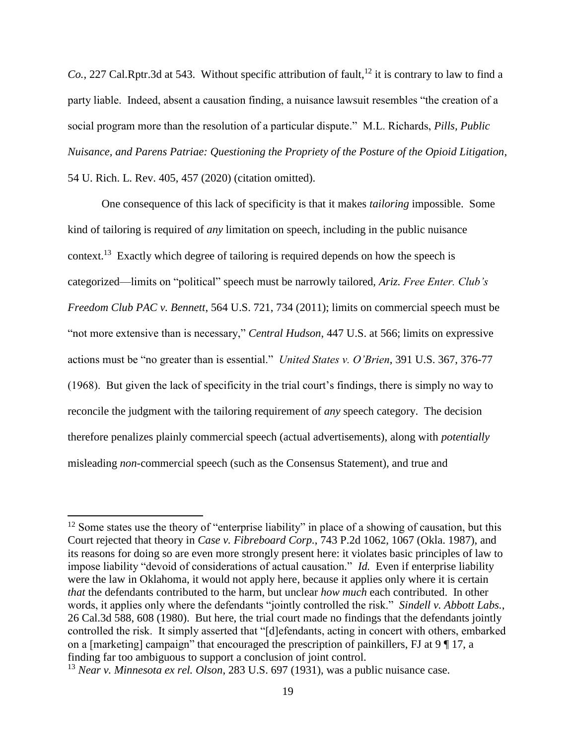*Co.*, 227 Cal.Rptr.3d at 543. Without specific attribution of fault,<sup>12</sup> it is contrary to law to find a party liable. Indeed, absent a causation finding, a nuisance lawsuit resembles "the creation of a social program more than the resolution of a particular dispute." M.L. Richards, *Pills, Public Nuisance, and Parens Patriae: Questioning the Propriety of the Posture of the Opioid Litigation*, 54 U. Rich. L. Rev. 405, 457 (2020) (citation omitted).

One consequence of this lack of specificity is that it makes *tailoring* impossible. Some kind of tailoring is required of *any* limitation on speech, including in the public nuisance context.<sup>13</sup> Exactly which degree of tailoring is required depends on how the speech is categorized—limits on "political" speech must be narrowly tailored, *Ariz. Free Enter. Club's Freedom Club PAC v. Bennett*, 564 U.S. 721, 734 (2011); limits on commercial speech must be "not more extensive than is necessary," *Central Hudson*, 447 U.S. at 566; limits on expressive actions must be "no greater than is essential." *United States v. O'Brien*, 391 U.S. 367, 376-77 (1968). But given the lack of specificity in the trial court's findings, there is simply no way to reconcile the judgment with the tailoring requirement of *any* speech category. The decision therefore penalizes plainly commercial speech (actual advertisements), along with *potentially* misleading *non*-commercial speech (such as the Consensus Statement), and true and

 $\overline{\phantom{a}}$ 

 $12$  Some states use the theory of "enterprise liability" in place of a showing of causation, but this Court rejected that theory in *Case v. Fibreboard Corp.*, 743 P.2d 1062, 1067 (Okla. 1987), and its reasons for doing so are even more strongly present here: it violates basic principles of law to impose liability "devoid of considerations of actual causation." *Id.* Even if enterprise liability were the law in Oklahoma, it would not apply here, because it applies only where it is certain *that* the defendants contributed to the harm, but unclear *how much* each contributed. In other words, it applies only where the defendants "jointly controlled the risk." *Sindell v. Abbott Labs.*, 26 Cal.3d 588, 608 (1980). But here, the trial court made no findings that the defendants jointly controlled the risk. It simply asserted that "[d]efendants, acting in concert with others, embarked on a [marketing] campaign" that encouraged the prescription of painkillers, FJ at 9 ¶ 17, a finding far too ambiguous to support a conclusion of joint control.

<sup>13</sup> *Near v. Minnesota ex rel. Olson*, 283 U.S. 697 (1931), was a public nuisance case.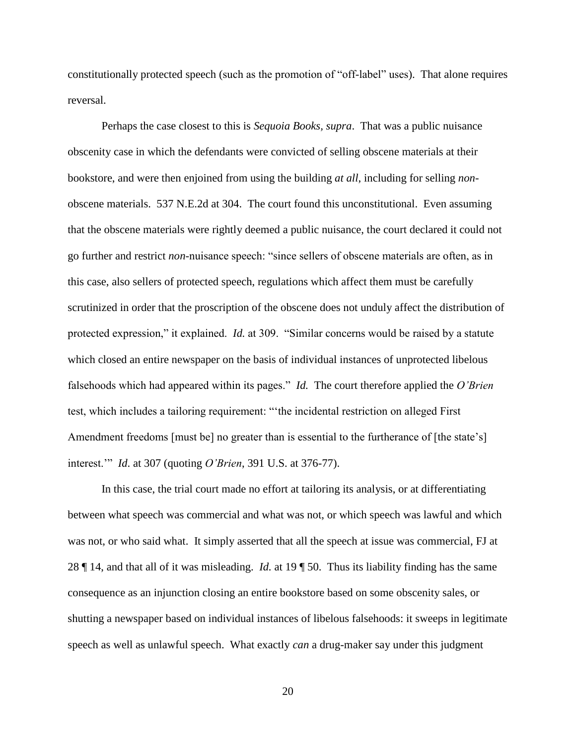constitutionally protected speech (such as the promotion of "off-label" uses). That alone requires reversal.

Perhaps the case closest to this is *Sequoia Books, supra*. That was a public nuisance obscenity case in which the defendants were convicted of selling obscene materials at their bookstore, and were then enjoined from using the building *at all*, including for selling *non*obscene materials. 537 N.E.2d at 304. The court found this unconstitutional. Even assuming that the obscene materials were rightly deemed a public nuisance, the court declared it could not go further and restrict *non*-nuisance speech: "since sellers of obscene materials are often, as in this case, also sellers of protected speech, regulations which affect them must be carefully scrutinized in order that the proscription of the obscene does not unduly affect the distribution of protected expression," it explained. *Id.* at 309. "Similar concerns would be raised by a statute which closed an entire newspaper on the basis of individual instances of unprotected libelous falsehoods which had appeared within its pages." *Id.* The court therefore applied the *O'Brien*  test, which includes a tailoring requirement: "'the incidental restriction on alleged First Amendment freedoms [must be] no greater than is essential to the furtherance of [the state's] interest.'" *Id*. at 307 (quoting *O'Brien*, 391 U.S. at 376-77).

In this case, the trial court made no effort at tailoring its analysis, or at differentiating between what speech was commercial and what was not, or which speech was lawful and which was not, or who said what. It simply asserted that all the speech at issue was commercial, FJ at 28 ¶ 14, and that all of it was misleading. *Id.* at 19 ¶ 50. Thus its liability finding has the same consequence as an injunction closing an entire bookstore based on some obscenity sales, or shutting a newspaper based on individual instances of libelous falsehoods: it sweeps in legitimate speech as well as unlawful speech. What exactly *can* a drug-maker say under this judgment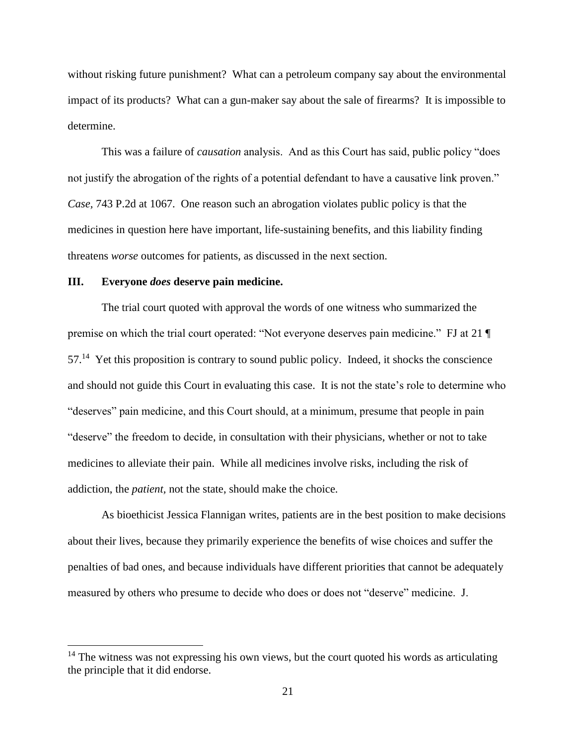without risking future punishment? What can a petroleum company say about the environmental impact of its products? What can a gun-maker say about the sale of firearms? It is impossible to determine.

This was a failure of *causation* analysis. And as this Court has said, public policy "does not justify the abrogation of the rights of a potential defendant to have a causative link proven." *Case,* 743 P.2d at 1067. One reason such an abrogation violates public policy is that the medicines in question here have important, life-sustaining benefits, and this liability finding threatens *worse* outcomes for patients, as discussed in the next section.

## **III. Everyone** *does* **deserve pain medicine.**

 $\overline{a}$ 

The trial court quoted with approval the words of one witness who summarized the premise on which the trial court operated: "Not everyone deserves pain medicine." FJ at 21 ¶ 57.<sup>14</sup> Yet this proposition is contrary to sound public policy. Indeed, it shocks the conscience and should not guide this Court in evaluating this case. It is not the state's role to determine who "deserves" pain medicine, and this Court should, at a minimum, presume that people in pain "deserve" the freedom to decide, in consultation with their physicians, whether or not to take medicines to alleviate their pain. While all medicines involve risks, including the risk of addiction, the *patient,* not the state, should make the choice.

As bioethicist Jessica Flannigan writes, patients are in the best position to make decisions about their lives, because they primarily experience the benefits of wise choices and suffer the penalties of bad ones, and because individuals have different priorities that cannot be adequately measured by others who presume to decide who does or does not "deserve" medicine. J.

 $14$  The witness was not expressing his own views, but the court quoted his words as articulating the principle that it did endorse.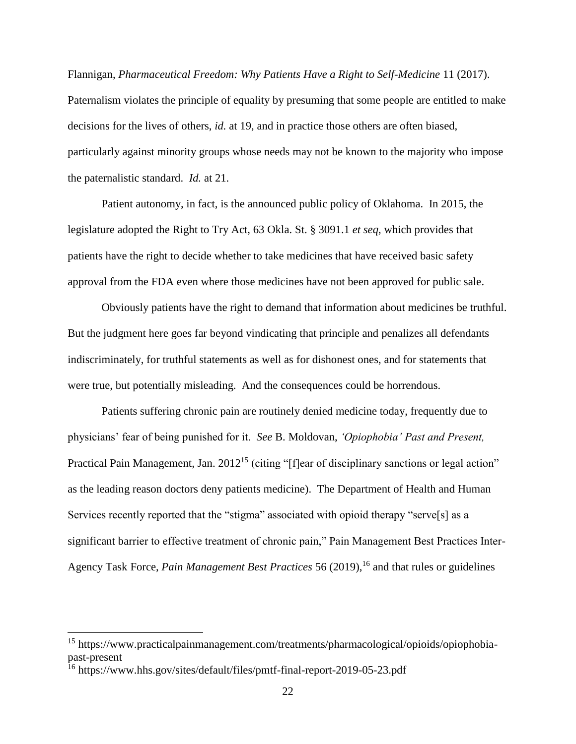Flannigan, *Pharmaceutical Freedom: Why Patients Have a Right to Self-Medicine* 11 (2017). Paternalism violates the principle of equality by presuming that some people are entitled to make decisions for the lives of others, *id.* at 19, and in practice those others are often biased, particularly against minority groups whose needs may not be known to the majority who impose the paternalistic standard. *Id.* at 21.

Patient autonomy, in fact, is the announced public policy of Oklahoma. In 2015, the legislature adopted the Right to Try Act, 63 Okla. St. § 3091.1 *et seq*, which provides that patients have the right to decide whether to take medicines that have received basic safety approval from the FDA even where those medicines have not been approved for public sale.

Obviously patients have the right to demand that information about medicines be truthful. But the judgment here goes far beyond vindicating that principle and penalizes all defendants indiscriminately, for truthful statements as well as for dishonest ones, and for statements that were true, but potentially misleading. And the consequences could be horrendous.

Patients suffering chronic pain are routinely denied medicine today, frequently due to physicians' fear of being punished for it. *See* B. Moldovan, *'Opiophobia' Past and Present,*  Practical Pain Management, Jan. 2012<sup>15</sup> (citing "[f]ear of disciplinary sanctions or legal action" as the leading reason doctors deny patients medicine). The Department of Health and Human Services recently reported that the "stigma" associated with opioid therapy "serve[s] as a significant barrier to effective treatment of chronic pain," Pain Management Best Practices Inter-Agency Task Force, *Pain Management Best Practices* 56 (2019),<sup>16</sup> and that rules or guidelines

 $\overline{a}$ 

<sup>15</sup> https://www.practicalpainmanagement.com/treatments/pharmacological/opioids/opiophobiapast-present

<sup>&</sup>lt;sup>16</sup> https://www.hhs.gov/sites/default/files/pmtf-final-report-2019-05-23.pdf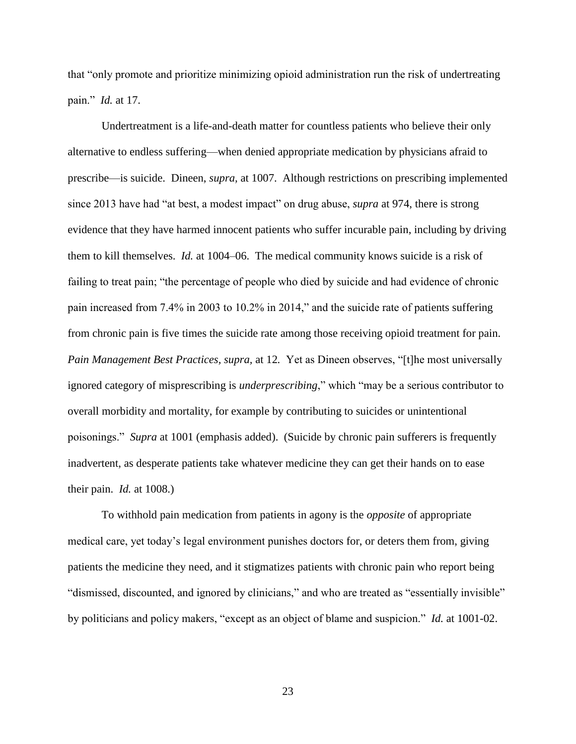that "only promote and prioritize minimizing opioid administration run the risk of undertreating pain." *Id.* at 17.

Undertreatment is a life-and-death matter for countless patients who believe their only alternative to endless suffering—when denied appropriate medication by physicians afraid to prescribe—is suicide. Dineen, *supra,* at 1007. Although restrictions on prescribing implemented since 2013 have had "at best, a modest impact" on drug abuse, *supra* at 974, there is strong evidence that they have harmed innocent patients who suffer incurable pain, including by driving them to kill themselves. *Id.* at 1004–06. The medical community knows suicide is a risk of failing to treat pain; "the percentage of people who died by suicide and had evidence of chronic pain increased from 7.4% in 2003 to 10.2% in 2014," and the suicide rate of patients suffering from chronic pain is five times the suicide rate among those receiving opioid treatment for pain. *Pain Management Best Practices, supra,* at 12*.* Yet as Dineen observes, "[t]he most universally ignored category of misprescribing is *underprescribing*," which "may be a serious contributor to overall morbidity and mortality, for example by contributing to suicides or unintentional poisonings." *Supra* at 1001 (emphasis added). (Suicide by chronic pain sufferers is frequently inadvertent, as desperate patients take whatever medicine they can get their hands on to ease their pain. *Id.* at 1008.)

To withhold pain medication from patients in agony is the *opposite* of appropriate medical care, yet today's legal environment punishes doctors for, or deters them from, giving patients the medicine they need, and it stigmatizes patients with chronic pain who report being "dismissed, discounted, and ignored by clinicians," and who are treated as "essentially invisible" by politicians and policy makers, "except as an object of blame and suspicion." *Id.* at 1001-02.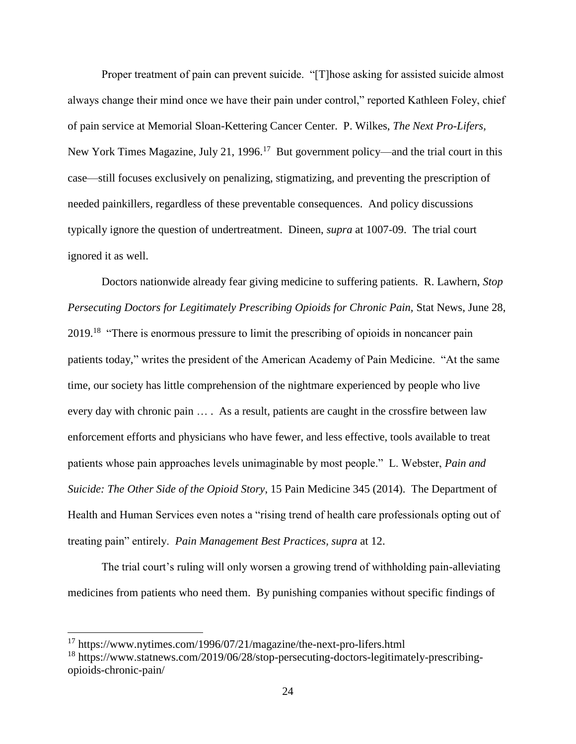Proper treatment of pain can prevent suicide. "[T]hose asking for assisted suicide almost always change their mind once we have their pain under control," reported Kathleen Foley, chief of pain service at Memorial Sloan-Kettering Cancer Center. P. Wilkes, *The Next Pro-Lifers,*  New York Times Magazine, July 21, 1996.<sup>17</sup> But government policy—and the trial court in this case—still focuses exclusively on penalizing, stigmatizing, and preventing the prescription of needed painkillers, regardless of these preventable consequences. And policy discussions typically ignore the question of undertreatment. Dineen, *supra* at 1007-09. The trial court ignored it as well.

Doctors nationwide already fear giving medicine to suffering patients. R. Lawhern, *Stop Persecuting Doctors for Legitimately Prescribing Opioids for Chronic Pain, Stat News, June 28,* 2019.<sup>18</sup> "There is enormous pressure to limit the prescribing of opioids in noncancer pain patients today," writes the president of the American Academy of Pain Medicine. "At the same time, our society has little comprehension of the nightmare experienced by people who live every day with chronic pain … . As a result, patients are caught in the crossfire between law enforcement efforts and physicians who have fewer, and less effective, tools available to treat patients whose pain approaches levels unimaginable by most people." L. Webster, *Pain and Suicide: The Other Side of the Opioid Story*, 15 Pain Medicine 345 (2014). The Department of Health and Human Services even notes a "rising trend of health care professionals opting out of treating pain" entirely. *Pain Management Best Practices, supra* at 12.

The trial court's ruling will only worsen a growing trend of withholding pain-alleviating medicines from patients who need them. By punishing companies without specific findings of

 $\overline{a}$ 

<sup>17</sup> https://www.nytimes.com/1996/07/21/magazine/the-next-pro-lifers.html

<sup>18</sup> https://www.statnews.com/2019/06/28/stop-persecuting-doctors-legitimately-prescribingopioids-chronic-pain/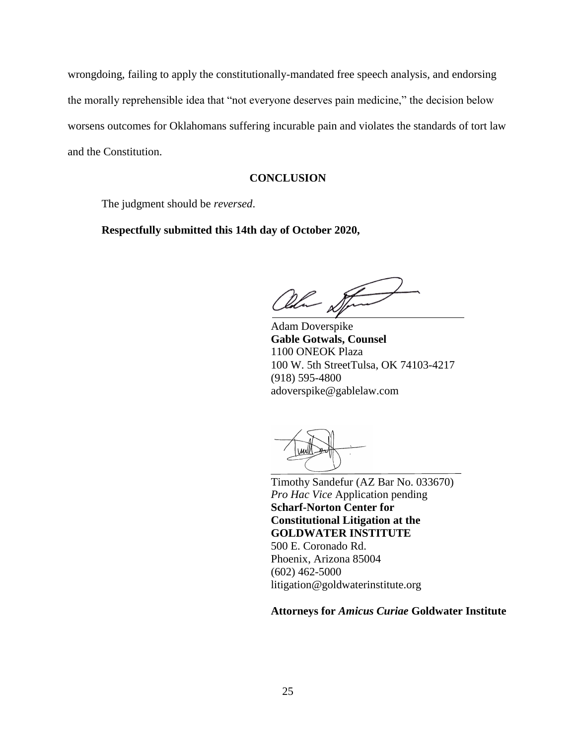wrongdoing, failing to apply the constitutionally-mandated free speech analysis, and endorsing the morally reprehensible idea that "not everyone deserves pain medicine," the decision below worsens outcomes for Oklahomans suffering incurable pain and violates the standards of tort law and the Constitution.

## **CONCLUSION**

The judgment should be *reversed*.

**Respectfully submitted this 14th day of October 2020,**

Ohn Stand

Adam Doverspike **Gable Gotwals, Counsel** 1100 ONEOK Plaza 100 W. 5th StreetTulsa, OK 74103-4217 (918) 595-4800 adoverspike@gablelaw.com

Timothy Sandefur (AZ Bar No. 033670) *Pro Hac Vice* Application pending **Scharf-Norton Center for Constitutional Litigation at the GOLDWATER INSTITUTE** 500 E. Coronado Rd. Phoenix, Arizona 85004 (602) 462-5000 [litigation@goldwaterinstitute.org](mailto:litigation@goldwaterinstitute.org)

#### **Attorneys for** *Amicus Curiae* **Goldwater Institute**